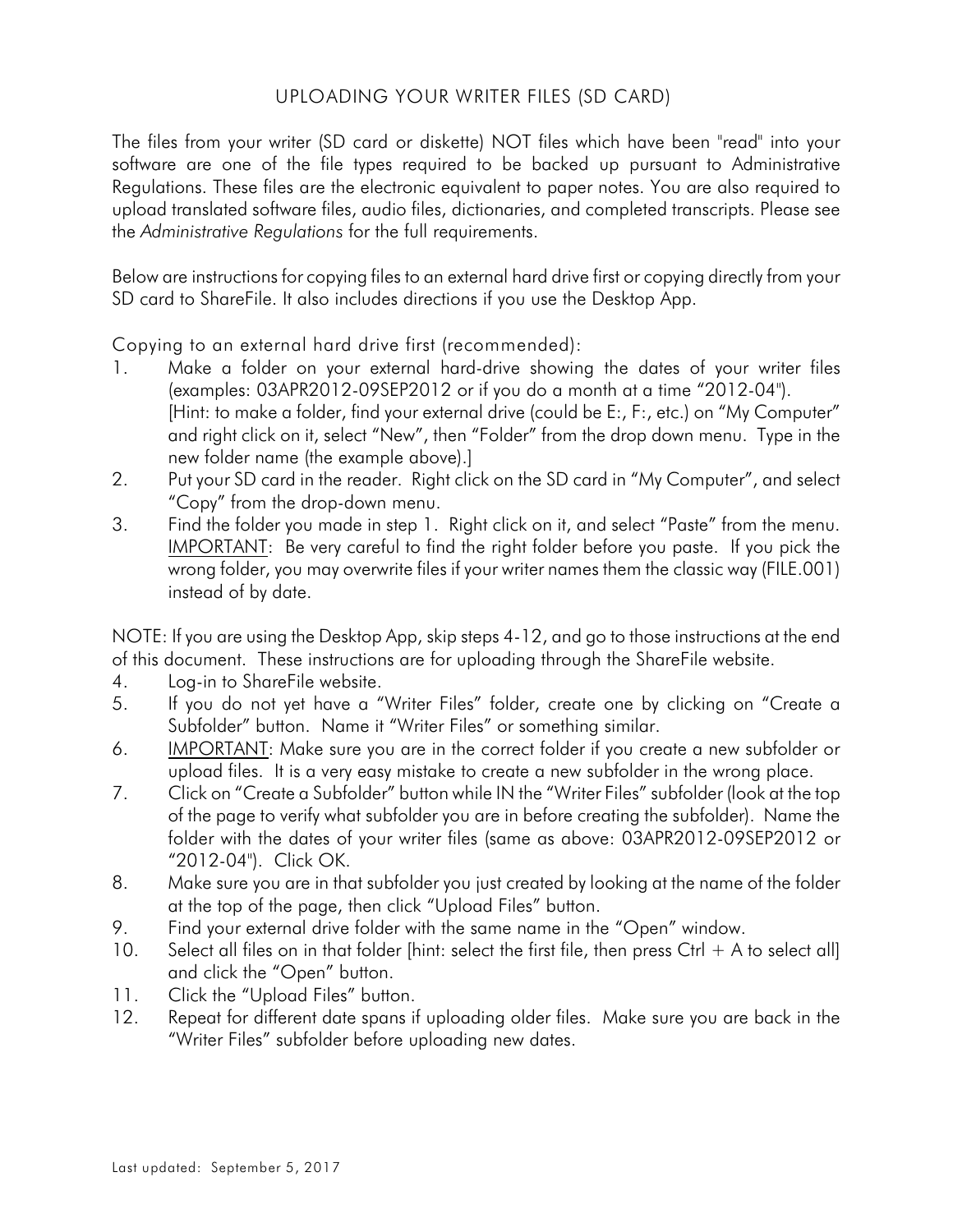## UPLOADING YOUR WRITER FILES (SD CARD)

The files from your writer (SD card or diskette) NOT files which have been "read" into your software are one of the file types required to be backed up pursuant to Administrative Regulations. These files are the electronic equivalent to paper notes. You are also required to upload translated software files, audio files, dictionaries, and completed transcripts. Please see the *Administrative Regulations* for the full requirements.

Below are instructions for copying files to an external hard drive first or copying directly from your SD card to ShareFile. It also includes directions if you use the Desktop App.

Copying to an external hard drive first (recommended):

- 1. Make a folder on your external hard-drive showing the dates of your writer files (examples: 03APR2012-09SEP2012 or if you do a month at a time "2012-04"). [Hint: to make a folder, find your external drive (could be E:, F:, etc.) on "My Computer" and right click on it, select "New", then "Folder" from the drop down menu. Type in the new folder name (the example above).]
- 2. Put your SD card in the reader. Right click on the SD card in "My Computer", and select "Copy" from the drop-down menu.
- 3. Find the folder you made in step 1. Right click on it, and select "Paste" from the menu. IMPORTANT: Be very careful to find the right folder before you paste. If you pick the wrong folder, you may overwrite files if your writer names them the classic way (FILE.001) instead of by date.

NOTE: If you are using the Desktop App, skip steps 4-12, and go to those instructions at the end of this document. These instructions are for uploading through the ShareFile website.

- 4. Log-in to ShareFile website.
- 5. If you do not yet have a "Writer Files" folder, create one by clicking on "Create a Subfolder" button. Name it "Writer Files" or something similar.
- 6. IMPORTANT: Make sure you are in the correct folder if you create a new subfolder or upload files. It is a very easy mistake to create a new subfolder in the wrong place.
- 7. Click on "Create a Subfolder" button while IN the "Writer Files" subfolder (look at the top of the page to verify what subfolder you are in before creating the subfolder). Name the folder with the dates of your writer files (same as above: 03APR2012-09SEP2012 or "2012-04"). Click OK.
- 8. Make sure you are in that subfolder you just created by looking at the name of the folder at the top of the page, then click "Upload Files" button.
- 9. Find your external drive folder with the same name in the "Open" window.
- 10. Select all files on in that folder [hint: select the first file, then press Ctrl  $+$  A to select all] and click the "Open" button.
- 11. Click the "Upload Files" button.
- 12. Repeat for different date spans if uploading older files. Make sure you are back in the "Writer Files" subfolder before uploading new dates.